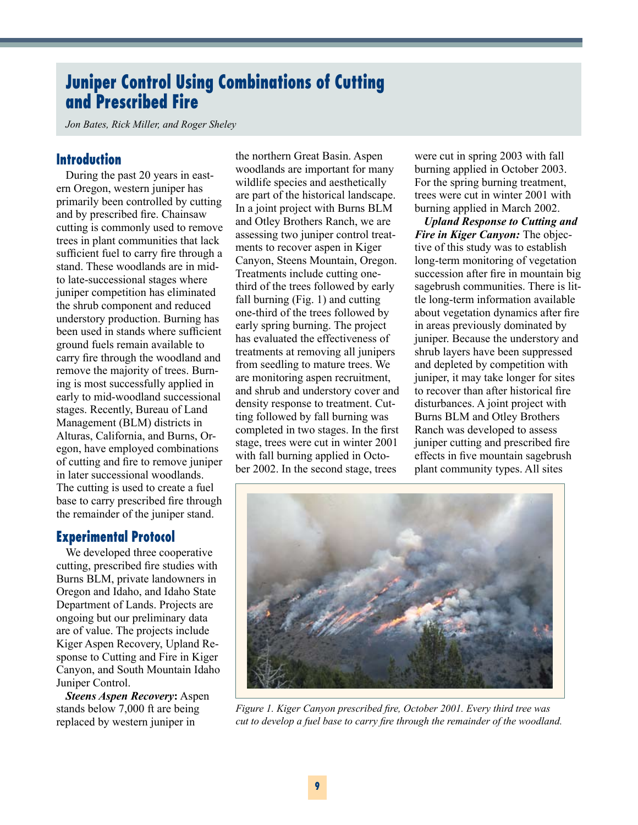# **Juniper Control Using Combinations of Cutting and Prescribed Fire**

*Jon Bates, Rick Miller, and Roger Sheley*

#### **Introduction**

During the past 20 years in eastern Oregon, western juniper has primarily been controlled by cutting and by prescribed fire. Chainsaw cutting is commonly used to remove trees in plant communities that lack sufficient fuel to carry fire through a stand. These woodlands are in midto late-successional stages where juniper competition has eliminated the shrub component and reduced understory production. Burning has been used in stands where sufficient ground fuels remain available to carry fire through the woodland and remove the majority of trees. Burning is most successfully applied in early to mid-woodland successional stages. Recently, Bureau of Land Management (BLM) districts in Alturas, California, and Burns, Oregon, have employed combinations of cutting and fire to remove juniper in later successional woodlands. The cutting is used to create a fuel base to carry prescribed fire through the remainder of the juniper stand.

## **Experimental Protocol**

We developed three cooperative cutting, prescribed fire studies with Burns BLM, private landowners in Oregon and Idaho, and Idaho State Department of Lands. Projects are ongoing but our preliminary data are of value. The projects include Kiger Aspen Recovery, Upland Response to Cutting and Fire in Kiger Canyon, and South Mountain Idaho Juniper Control.

*Steens Aspen Recovery***:** Aspen stands below 7,000 ft are being replaced by western juniper in

the northern Great Basin. Aspen woodlands are important for many wildlife species and aesthetically are part of the historical landscape. In a joint project with Burns BLM and Otley Brothers Ranch, we are assessing two juniper control treatments to recover aspen in Kiger Canyon, Steens Mountain, Oregon. Treatments include cutting onethird of the trees followed by early fall burning (Fig. 1) and cutting one-third of the trees followed by early spring burning. The project has evaluated the effectiveness of treatments at removing all junipers from seedling to mature trees. We are monitoring aspen recruitment, and shrub and understory cover and density response to treatment. Cutting followed by fall burning was completed in two stages. In the first stage, trees were cut in winter 2001 with fall burning applied in October 2002. In the second stage, trees

were cut in spring 2003 with fall burning applied in October 2003. For the spring burning treatment, trees were cut in winter 2001 with burning applied in March 2002.

*Upland Response to Cutting and Fire in Kiger Canyon:* The objective of this study was to establish long-term monitoring of vegetation succession after fire in mountain big sagebrush communities. There is little long-term information available about vegetation dynamics after fire in areas previously dominated by juniper. Because the understory and shrub layers have been suppressed and depleted by competition with juniper, it may take longer for sites to recover than after historical fire disturbances. A joint project with Burns BLM and Otley Brothers Ranch was developed to assess juniper cutting and prescribed fire effects in five mountain sagebrush plant community types. All sites



*Figure 1. Kiger Canyon prescribed fire, October 2001. Every third tree was cut to develop a fuel base to carry fire through the remainder of the woodland.*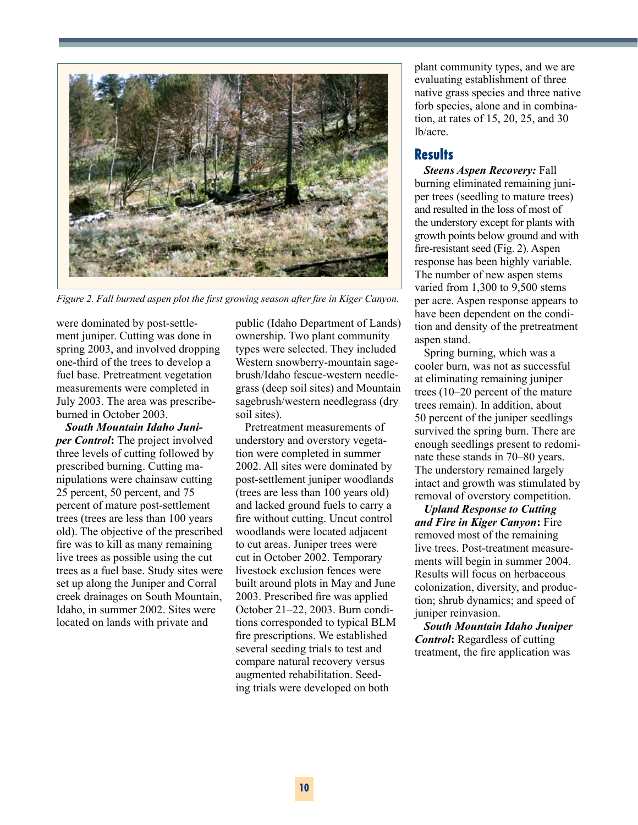

*Figure 2. Fall burned aspen plot the first growing season after fire in Kiger Canyon.*

were dominated by post-settlement juniper. Cutting was done in spring 2003, and involved dropping one-third of the trees to develop a fuel base. Pretreatment vegetation measurements were completed in July 2003. The area was prescribeburned in October 2003.

*South Mountain Idaho Juniper Control***:** The project involved three levels of cutting followed by prescribed burning. Cutting manipulations were chainsaw cutting 25 percent, 50 percent, and 75 percent of mature post-settlement trees (trees are less than 100 years old). The objective of the prescribed fire was to kill as many remaining live trees as possible using the cut trees as a fuel base. Study sites were set up along the Juniper and Corral creek drainages on South Mountain, Idaho, in summer 2002. Sites were located on lands with private and

public (Idaho Department of Lands) ownership. Two plant community types were selected. They included Western snowberry-mountain sagebrush/Idaho fescue-western needlegrass (deep soil sites) and Mountain sagebrush/western needlegrass (dry soil sites).

Pretreatment measurements of understory and overstory vegetation were completed in summer 2002. All sites were dominated by post-settlement juniper woodlands (trees are less than 100 years old) and lacked ground fuels to carry a fire without cutting. Uncut control woodlands were located adjacent to cut areas. Juniper trees were cut in October 2002. Temporary livestock exclusion fences were built around plots in May and June 2003. Prescribed fire was applied October 21–22, 2003. Burn conditions corresponded to typical BLM fire prescriptions. We established several seeding trials to test and compare natural recovery versus augmented rehabilitation. Seeding trials were developed on both

plant community types, and we are evaluating establishment of three native grass species and three native forb species, alone and in combination, at rates of 15, 20, 25, and 30 lb/acre.

## **Results**

*Steens Aspen Recovery:* Fall burning eliminated remaining juniper trees (seedling to mature trees) and resulted in the loss of most of the understory except for plants with growth points below ground and with fire-resistant seed (Fig. 2). Aspen response has been highly variable. The number of new aspen stems varied from 1,300 to 9,500 stems per acre. Aspen response appears to have been dependent on the condition and density of the pretreatment aspen stand.

Spring burning, which was a cooler burn, was not as successful at eliminating remaining juniper trees (10–20 percent of the mature trees remain). In addition, about 50 percent of the juniper seedlings survived the spring burn. There are enough seedlings present to redominate these stands in 70–80 years. The understory remained largely intact and growth was stimulated by removal of overstory competition.

*Upland Response to Cutting and Fire in Kiger Canyon***:** Fire removed most of the remaining live trees. Post-treatment measurements will begin in summer 2004. Results will focus on herbaceous colonization, diversity, and production; shrub dynamics; and speed of juniper reinvasion.

*South Mountain Idaho Juniper Control***:** Regardless of cutting treatment, the fire application was